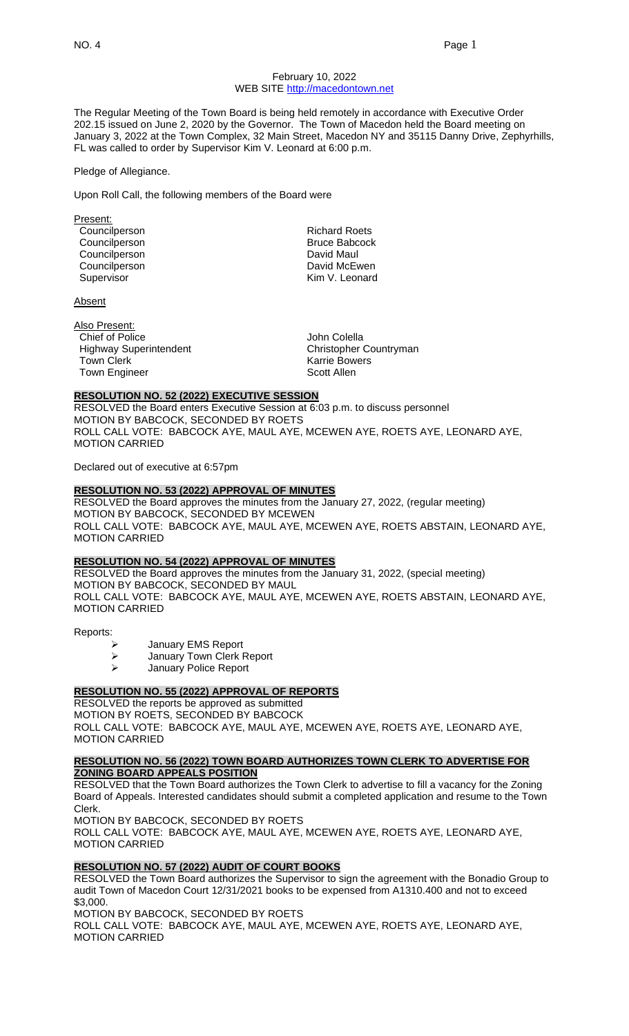#### February 10, 2022 WEB SITE [http://macedontown.net](http://macedontown.net/)

The Regular Meeting of the Town Board is being held remotely in accordance with Executive Order 202.15 issued on June 2, 2020 by the Governor. The Town of Macedon held the Board meeting on January 3, 2022 at the Town Complex, 32 Main Street, Macedon NY and 35115 Danny Drive, Zephyrhills, FL was called to order by Supervisor Kim V. Leonard at 6:00 p.m.

Pledge of Allegiance.

Upon Roll Call, the following members of the Board were

Present: Councilperson **Richard Roets**<br>
Councilperson **Richard Roets**<br>
Richard Roets<br>
Richard Roets Councilperson Councilperson **David Maul** Councilperson **David McEwen** 

**Absent** 

Also Present: Chief of Police<br>
Highway Superintendent<br>
Highway Superintendent<br>
The John Christopher Countryman Highway Superintendent Town Clerk **Karrie Bowers Karrie Bowers** Town Engineer Scott Allen

Supervisor **Kim V. Leonard** 

#### **RESOLUTION NO. 52 (2022) EXECUTIVE SESSION**

RESOLVED the Board enters Executive Session at 6:03 p.m. to discuss personnel MOTION BY BABCOCK, SECONDED BY ROETS ROLL CALL VOTE: BABCOCK AYE, MAUL AYE, MCEWEN AYE, ROETS AYE, LEONARD AYE, MOTION CARRIED

Declared out of executive at 6:57pm

## **RESOLUTION NO. 53 (2022) APPROVAL OF MINUTES**

RESOLVED the Board approves the minutes from the January 27, 2022, (regular meeting) MOTION BY BABCOCK, SECONDED BY MCEWEN ROLL CALL VOTE: BABCOCK AYE, MAUL AYE, MCEWEN AYE, ROETS ABSTAIN, LEONARD AYE, MOTION CARRIED

#### **RESOLUTION NO. 54 (2022) APPROVAL OF MINUTES**

RESOLVED the Board approves the minutes from the January 31, 2022, (special meeting) MOTION BY BABCOCK, SECONDED BY MAUL ROLL CALL VOTE: BABCOCK AYE, MAUL AYE, MCEWEN AYE, ROETS ABSTAIN, LEONARD AYE, MOTION CARRIED

Reports:

- ➢ January EMS Report
- ➢ January Town Clerk Report
- ➢ January Police Report

# **RESOLUTION NO. 55 (2022) APPROVAL OF REPORTS**

RESOLVED the reports be approved as submitted MOTION BY ROETS, SECONDED BY BABCOCK ROLL CALL VOTE: BABCOCK AYE, MAUL AYE, MCEWEN AYE, ROETS AYE, LEONARD AYE, MOTION CARRIED

## **RESOLUTION NO. 56 (2022) TOWN BOARD AUTHORIZES TOWN CLERK TO ADVERTISE FOR ZONING BOARD APPEALS POSITION**

RESOLVED that the Town Board authorizes the Town Clerk to advertise to fill a vacancy for the Zoning Board of Appeals. Interested candidates should submit a completed application and resume to the Town Clerk.

MOTION BY BABCOCK, SECONDED BY ROETS ROLL CALL VOTE: BABCOCK AYE, MAUL AYE, MCEWEN AYE, ROETS AYE, LEONARD AYE, MOTION CARRIED

## **RESOLUTION NO. 57 (2022) AUDIT OF COURT BOOKS**

RESOLVED the Town Board authorizes the Supervisor to sign the agreement with the Bonadio Group to audit Town of Macedon Court 12/31/2021 books to be expensed from A1310.400 and not to exceed \$3,000.

MOTION BY BABCOCK, SECONDED BY ROETS

ROLL CALL VOTE: BABCOCK AYE, MAUL AYE, MCEWEN AYE, ROETS AYE, LEONARD AYE, MOTION CARRIED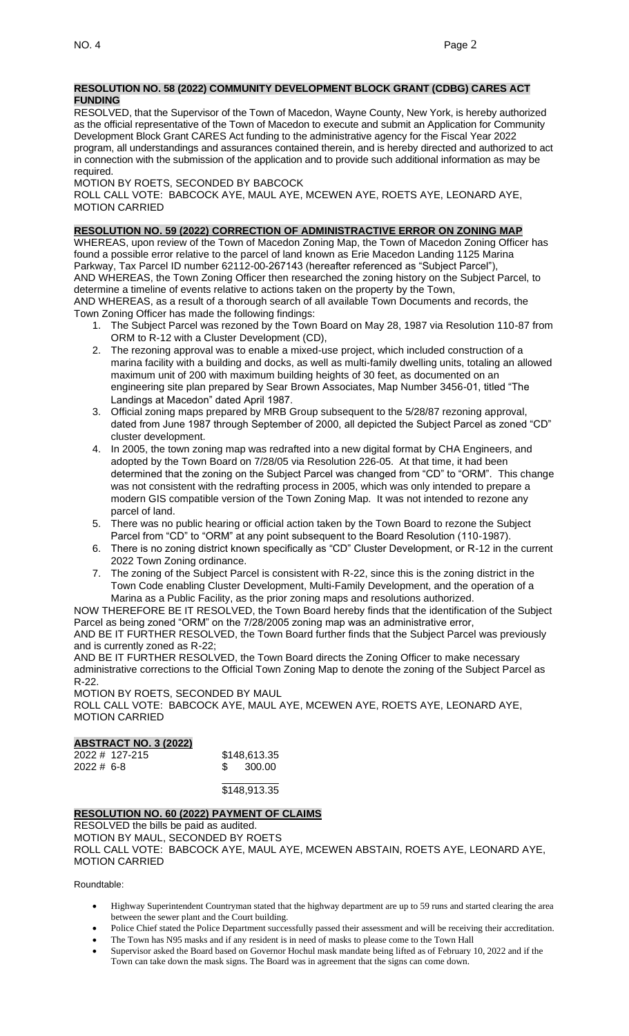#### **RESOLUTION NO. 58 (2022) COMMUNITY DEVELOPMENT BLOCK GRANT (CDBG) CARES ACT FUNDING**

RESOLVED, that the Supervisor of the Town of Macedon, Wayne County, New York, is hereby authorized as the official representative of the Town of Macedon to execute and submit an Application for Community Development Block Grant CARES Act funding to the administrative agency for the Fiscal Year 2022 program, all understandings and assurances contained therein, and is hereby directed and authorized to act in connection with the submission of the application and to provide such additional information as may be required.

MOTION BY ROETS, SECONDED BY BABCOCK

ROLL CALL VOTE: BABCOCK AYE, MAUL AYE, MCEWEN AYE, ROETS AYE, LEONARD AYE, MOTION CARRIED

## **RESOLUTION NO. 59 (2022) CORRECTION OF ADMINISTRACTIVE ERROR ON ZONING MAP**

WHEREAS, upon review of the Town of Macedon Zoning Map, the Town of Macedon Zoning Officer has found a possible error relative to the parcel of land known as Erie Macedon Landing 1125 Marina Parkway, Tax Parcel ID number 62112-00-267143 (hereafter referenced as "Subject Parcel"), AND WHEREAS, the Town Zoning Officer then researched the zoning history on the Subject Parcel, to determine a timeline of events relative to actions taken on the property by the Town, AND WHEREAS, as a result of a thorough search of all available Town Documents and records, the

Town Zoning Officer has made the following findings:

- 1. The Subject Parcel was rezoned by the Town Board on May 28, 1987 via Resolution 110-87 from ORM to R-12 with a Cluster Development (CD),
- 2. The rezoning approval was to enable a mixed-use project, which included construction of a marina facility with a building and docks, as well as multi-family dwelling units, totaling an allowed maximum unit of 200 with maximum building heights of 30 feet, as documented on an engineering site plan prepared by Sear Brown Associates, Map Number 3456-01, titled "The Landings at Macedon" dated April 1987.
- 3. Official zoning maps prepared by MRB Group subsequent to the 5/28/87 rezoning approval, dated from June 1987 through September of 2000, all depicted the Subject Parcel as zoned "CD" cluster development.
- 4. In 2005, the town zoning map was redrafted into a new digital format by CHA Engineers, and adopted by the Town Board on 7/28/05 via Resolution 226-05. At that time, it had been determined that the zoning on the Subject Parcel was changed from "CD" to "ORM". This change was not consistent with the redrafting process in 2005, which was only intended to prepare a modern GIS compatible version of the Town Zoning Map. It was not intended to rezone any parcel of land.
- 5. There was no public hearing or official action taken by the Town Board to rezone the Subject Parcel from "CD" to "ORM" at any point subsequent to the Board Resolution (110-1987).
- 6. There is no zoning district known specifically as "CD" Cluster Development, or R-12 in the current 2022 Town Zoning ordinance.
- 7. The zoning of the Subject Parcel is consistent with R-22, since this is the zoning district in the Town Code enabling Cluster Development, Multi-Family Development, and the operation of a Marina as a Public Facility, as the prior zoning maps and resolutions authorized.

NOW THEREFORE BE IT RESOLVED, the Town Board hereby finds that the identification of the Subject Parcel as being zoned "ORM" on the 7/28/2005 zoning map was an administrative error, AND BE IT FURTHER RESOLVED, the Town Board further finds that the Subject Parcel was previously

and is currently zoned as R-22; AND BE IT FURTHER RESOLVED, the Town Board directs the Zoning Officer to make necessary

administrative corrections to the Official Town Zoning Map to denote the zoning of the Subject Parcel as R-22.

MOTION BY ROETS, SECONDED BY MAUL ROLL CALL VOTE: BABCOCK AYE, MAUL AYE, MCEWEN AYE, ROETS AYE, LEONARD AYE, MOTION CARRIED

## **ABSTRACT NO. 3 (2022)**

|          | 2022 # 127-215 | \$148,613.35 |
|----------|----------------|--------------|
| 2022#6-8 |                | 300.00       |

\_\_\_\_\_\_\_\_\_\_ \$148,913.35

## **RESOLUTION NO. 60 (2022) PAYMENT OF CLAIMS**

RESOLVED the bills be paid as audited. MOTION BY MAUL, SECONDED BY ROETS ROLL CALL VOTE: BABCOCK AYE, MAUL AYE, MCEWEN ABSTAIN, ROETS AYE, LEONARD AYE, MOTION CARRIED

Roundtable:

- Highway Superintendent Countryman stated that the highway department are up to 59 runs and started clearing the area between the sewer plant and the Court building.
- Police Chief stated the Police Department successfully passed their assessment and will be receiving their accreditation.
- The Town has N95 masks and if any resident is in need of masks to please come to the Town Hall • Supervisor asked the Board based on Governor Hochul mask mandate being lifted as of February 10, 2022 and if the
- Town can take down the mask signs. The Board was in agreement that the signs can come down.